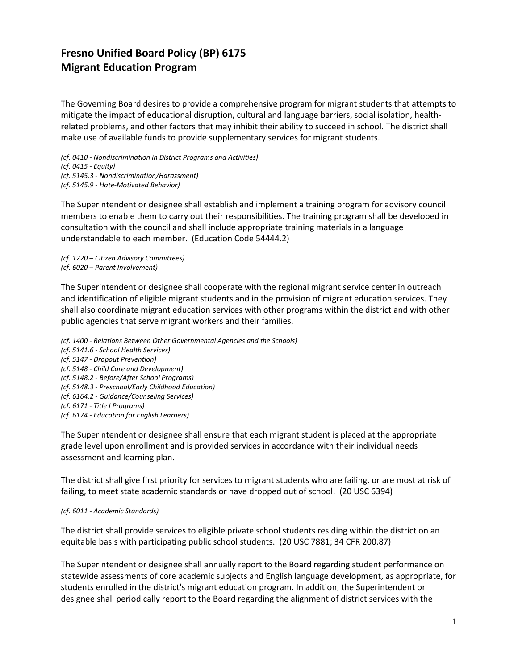## **Fresno Unified Board Policy (BP) 6175 Migrant Education Program**

The Governing Board desires to provide a comprehensive program for migrant students that attempts to mitigate the impact of educational disruption, cultural and language barriers, social isolation, healthrelated problems, and other factors that may inhibit their ability to succeed in school. The district shall make use of available funds to provide supplementary services for migrant students.

*(cf. 0410 - Nondiscrimination in District Programs and Activities) (cf. 0415 - Equity) (cf. 5145.3 - Nondiscrimination/Harassment) (cf. 5145.9 - Hate-Motivated Behavior)*

The Superintendent or designee shall establish and implement a training program for advisory council members to enable them to carry out their responsibilities. The training program shall be developed in consultation with the council and shall include appropriate training materials in a language understandable to each member. (Education Code 54444.2)

*(cf. 1220 – Citizen Advisory Committees) (cf. 6020 – Parent Involvement)*

The Superintendent or designee shall cooperate with the regional migrant service center in outreach and identification of eligible migrant students and in the provision of migrant education services. They shall also coordinate migrant education services with other programs within the district and with other public agencies that serve migrant workers and their families.

*(cf. 1400 - Relations Between Other Governmental Agencies and the Schools) (cf. 5141.6 - School Health Services) (cf. 5147 - Dropout Prevention) (cf. 5148 - Child Care and Development) (cf. 5148.2 - Before/After School Programs) (cf. 5148.3 - Preschool/Early Childhood Education) (cf. 6164.2 - Guidance/Counseling Services) (cf. 6171 - Title I Programs) (cf. 6174 - Education for English Learners)*

The Superintendent or designee shall ensure that each migrant student is placed at the appropriate grade level upon enrollment and is provided services in accordance with their individual needs assessment and learning plan.

The district shall give first priority for services to migrant students who are failing, or are most at risk of failing, to meet state academic standards or have dropped out of school. (20 USC 6394)

## *(cf. 6011 - Academic Standards)*

The district shall provide services to eligible private school students residing within the district on an equitable basis with participating public school students. (20 USC 7881; 34 CFR 200.87)

The Superintendent or designee shall annually report to the Board regarding student performance on statewide assessments of core academic subjects and English language development, as appropriate, for students enrolled in the district's migrant education program. In addition, the Superintendent or designee shall periodically report to the Board regarding the alignment of district services with the